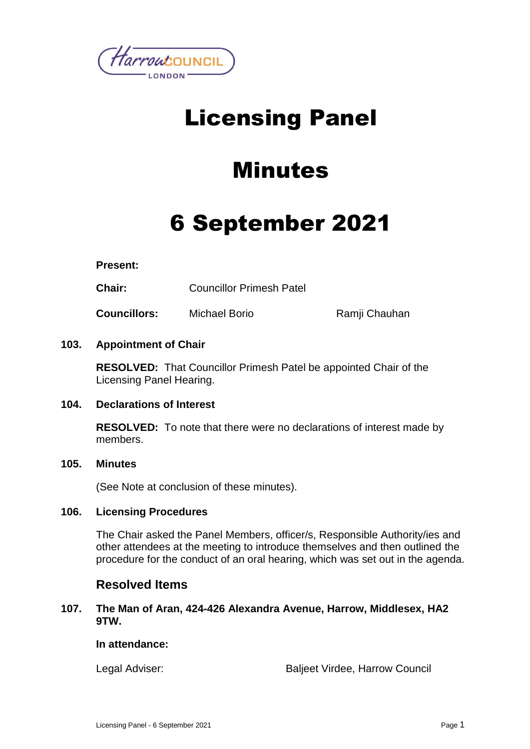

## Licensing Panel

### Minutes

# 6 September 2021

#### **Present:**

**Chair:** Councillor Primesh Patel

**Councillors:** Michael Borio Ramji Chauhan

#### **103. Appointment of Chair**

**RESOLVED:** That Councillor Primesh Patel be appointed Chair of the Licensing Panel Hearing.

#### **104. Declarations of Interest**

**RESOLVED:** To note that there were no declarations of interest made by members.

#### **105. Minutes**

(See Note at conclusion of these minutes).

#### **106. Licensing Procedures**

The Chair asked the Panel Members, officer/s, Responsible Authority/ies and other attendees at the meeting to introduce themselves and then outlined the procedure for the conduct of an oral hearing, which was set out in the agenda.

### **Resolved Items**

#### **107. The Man of Aran, 424-426 Alexandra Avenue, Harrow, Middlesex, HA2 9TW.**

#### **In attendance:**

Legal Adviser: Baljeet Virdee, Harrow Council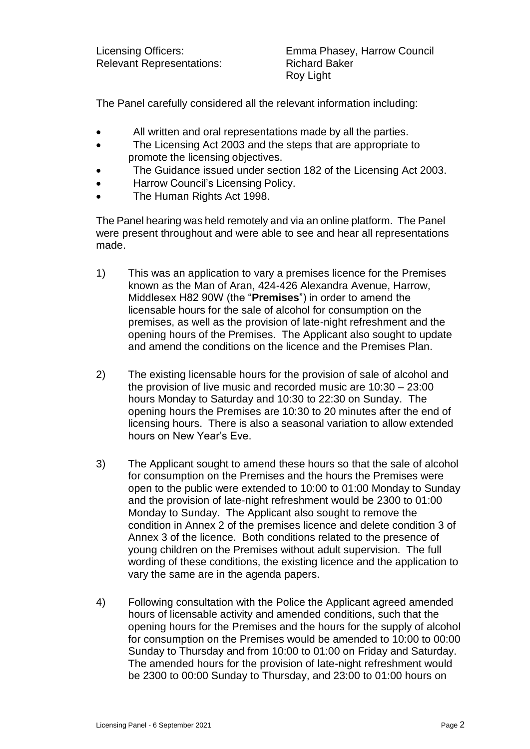Relevant Representations: Richard Baker

Licensing Officers: Emma Phasey, Harrow Council Roy Light

The Panel carefully considered all the relevant information including:

- All written and oral representations made by all the parties.
- The Licensing Act 2003 and the steps that are appropriate to promote the licensing objectives.
- The Guidance issued under section 182 of the Licensing Act 2003.
- Harrow Council's Licensing Policy.
- The Human Rights Act 1998.

The Panel hearing was held remotely and via an online platform. The Panel were present throughout and were able to see and hear all representations made.

- 1) This was an application to vary a premises licence for the Premises known as the Man of Aran, 424-426 Alexandra Avenue, Harrow, Middlesex H82 90W (the "**Premises**") in order to amend the licensable hours for the sale of alcohol for consumption on the premises, as well as the provision of late-night refreshment and the opening hours of the Premises. The Applicant also sought to update and amend the conditions on the licence and the Premises Plan.
- 2) The existing licensable hours for the provision of sale of alcohol and the provision of live music and recorded music are 10:30 – 23:00 hours Monday to Saturday and 10:30 to 22:30 on Sunday. The opening hours the Premises are 10:30 to 20 minutes after the end of licensing hours. There is also a seasonal variation to allow extended hours on New Year's Eve.
- 3) The Applicant sought to amend these hours so that the sale of alcohol for consumption on the Premises and the hours the Premises were open to the public were extended to 10:00 to 01:00 Monday to Sunday and the provision of late-night refreshment would be 2300 to 01:00 Monday to Sunday. The Applicant also sought to remove the condition in Annex 2 of the premises licence and delete condition 3 of Annex 3 of the licence. Both conditions related to the presence of young children on the Premises without adult supervision. The full wording of these conditions, the existing licence and the application to vary the same are in the agenda papers.
- 4) Following consultation with the Police the Applicant agreed amended hours of licensable activity and amended conditions, such that the opening hours for the Premises and the hours for the supply of alcohol for consumption on the Premises would be amended to 10:00 to 00:00 Sunday to Thursday and from 10:00 to 01:00 on Friday and Saturday. The amended hours for the provision of late-night refreshment would be 2300 to 00:00 Sunday to Thursday, and 23:00 to 01:00 hours on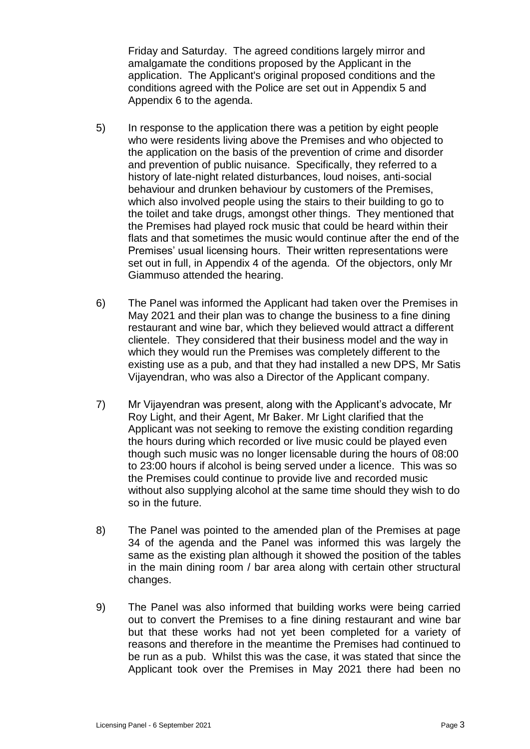Friday and Saturday. The agreed conditions largely mirror and amalgamate the conditions proposed by the Applicant in the application. The Applicant's original proposed conditions and the conditions agreed with the Police are set out in Appendix 5 and Appendix 6 to the agenda.

- 5) In response to the application there was a petition by eight people who were residents living above the Premises and who objected to the application on the basis of the prevention of crime and disorder and prevention of public nuisance. Specifically, they referred to a history of late-night related disturbances, loud noises, anti-social behaviour and drunken behaviour by customers of the Premises, which also involved people using the stairs to their building to go to the toilet and take drugs, amongst other things. They mentioned that the Premises had played rock music that could be heard within their flats and that sometimes the music would continue after the end of the Premises' usual licensing hours. Their written representations were set out in full, in Appendix 4 of the agenda. Of the objectors, only Mr Giammuso attended the hearing.
- 6) The Panel was informed the Applicant had taken over the Premises in May 2021 and their plan was to change the business to a fine dining restaurant and wine bar, which they believed would attract a different clientele. They considered that their business model and the way in which they would run the Premises was completely different to the existing use as a pub, and that they had installed a new DPS, Mr Satis Vijayendran, who was also a Director of the Applicant company.
- 7) Mr Vijayendran was present, along with the Applicant's advocate, Mr Roy Light, and their Agent, Mr Baker. Mr Light clarified that the Applicant was not seeking to remove the existing condition regarding the hours during which recorded or live music could be played even though such music was no longer licensable during the hours of 08:00 to 23:00 hours if alcohol is being served under a licence. This was so the Premises could continue to provide live and recorded music without also supplying alcohol at the same time should they wish to do so in the future.
- 8) The Panel was pointed to the amended plan of the Premises at page 34 of the agenda and the Panel was informed this was largely the same as the existing plan although it showed the position of the tables in the main dining room / bar area along with certain other structural changes.
- 9) The Panel was also informed that building works were being carried out to convert the Premises to a fine dining restaurant and wine bar but that these works had not yet been completed for a variety of reasons and therefore in the meantime the Premises had continued to be run as a pub. Whilst this was the case, it was stated that since the Applicant took over the Premises in May 2021 there had been no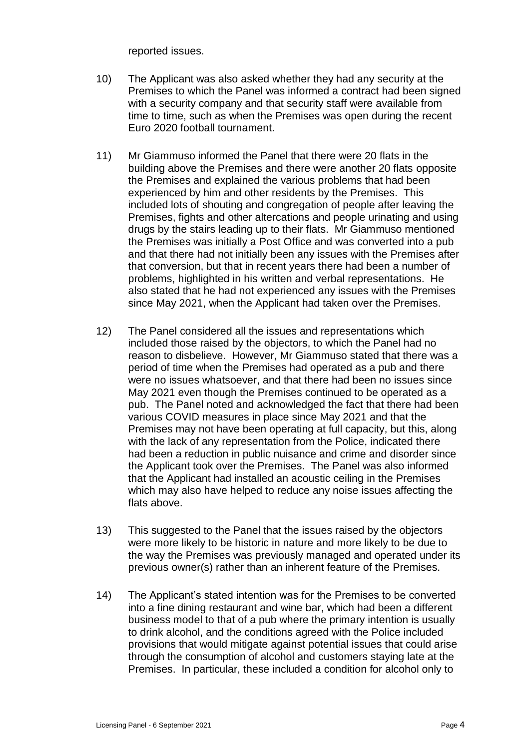reported issues.

- 10) The Applicant was also asked whether they had any security at the Premises to which the Panel was informed a contract had been signed with a security company and that security staff were available from time to time, such as when the Premises was open during the recent Euro 2020 football tournament.
- 11) Mr Giammuso informed the Panel that there were 20 flats in the building above the Premises and there were another 20 flats opposite the Premises and explained the various problems that had been experienced by him and other residents by the Premises. This included lots of shouting and congregation of people after leaving the Premises, fights and other altercations and people urinating and using drugs by the stairs leading up to their flats. Mr Giammuso mentioned the Premises was initially a Post Office and was converted into a pub and that there had not initially been any issues with the Premises after that conversion, but that in recent years there had been a number of problems, highlighted in his written and verbal representations. He also stated that he had not experienced any issues with the Premises since May 2021, when the Applicant had taken over the Premises.
- 12) The Panel considered all the issues and representations which included those raised by the objectors, to which the Panel had no reason to disbelieve. However, Mr Giammuso stated that there was a period of time when the Premises had operated as a pub and there were no issues whatsoever, and that there had been no issues since May 2021 even though the Premises continued to be operated as a pub. The Panel noted and acknowledged the fact that there had been various COVID measures in place since May 2021 and that the Premises may not have been operating at full capacity, but this, along with the lack of any representation from the Police, indicated there had been a reduction in public nuisance and crime and disorder since the Applicant took over the Premises. The Panel was also informed that the Applicant had installed an acoustic ceiling in the Premises which may also have helped to reduce any noise issues affecting the flats above.
- 13) This suggested to the Panel that the issues raised by the objectors were more likely to be historic in nature and more likely to be due to the way the Premises was previously managed and operated under its previous owner(s) rather than an inherent feature of the Premises.
- 14) The Applicant's stated intention was for the Premises to be converted into a fine dining restaurant and wine bar, which had been a different business model to that of a pub where the primary intention is usually to drink alcohol, and the conditions agreed with the Police included provisions that would mitigate against potential issues that could arise through the consumption of alcohol and customers staying late at the Premises. In particular, these included a condition for alcohol only to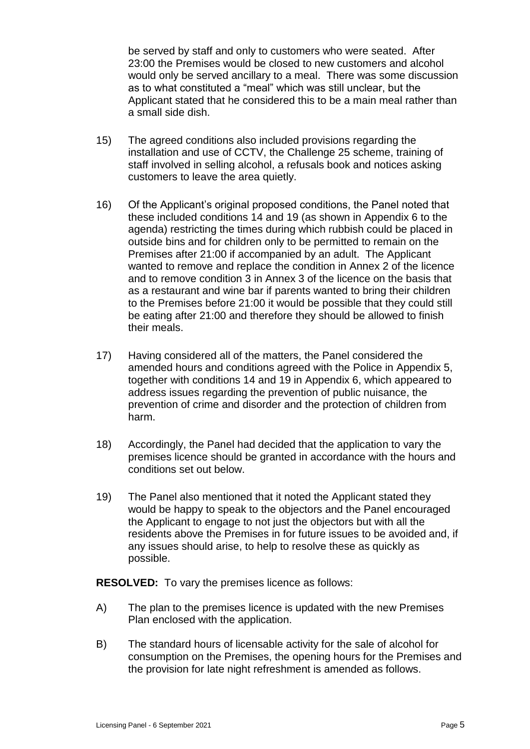be served by staff and only to customers who were seated. After 23:00 the Premises would be closed to new customers and alcohol would only be served ancillary to a meal. There was some discussion as to what constituted a "meal" which was still unclear, but the Applicant stated that he considered this to be a main meal rather than a small side dish.

- 15) The agreed conditions also included provisions regarding the installation and use of CCTV, the Challenge 25 scheme, training of staff involved in selling alcohol, a refusals book and notices asking customers to leave the area quietly.
- 16) Of the Applicant's original proposed conditions, the Panel noted that these included conditions 14 and 19 (as shown in Appendix 6 to the agenda) restricting the times during which rubbish could be placed in outside bins and for children only to be permitted to remain on the Premises after 21:00 if accompanied by an adult. The Applicant wanted to remove and replace the condition in Annex 2 of the licence and to remove condition 3 in Annex 3 of the licence on the basis that as a restaurant and wine bar if parents wanted to bring their children to the Premises before 21:00 it would be possible that they could still be eating after 21:00 and therefore they should be allowed to finish their meals.
- 17) Having considered all of the matters, the Panel considered the amended hours and conditions agreed with the Police in Appendix 5, together with conditions 14 and 19 in Appendix 6, which appeared to address issues regarding the prevention of public nuisance, the prevention of crime and disorder and the protection of children from harm.
- 18) Accordingly, the Panel had decided that the application to vary the premises licence should be granted in accordance with the hours and conditions set out below.
- 19) The Panel also mentioned that it noted the Applicant stated they would be happy to speak to the objectors and the Panel encouraged the Applicant to engage to not just the objectors but with all the residents above the Premises in for future issues to be avoided and, if any issues should arise, to help to resolve these as quickly as possible.

**RESOLVED:** To vary the premises licence as follows:

- A) The plan to the premises licence is updated with the new Premises Plan enclosed with the application.
- B) The standard hours of licensable activity for the sale of alcohol for consumption on the Premises, the opening hours for the Premises and the provision for late night refreshment is amended as follows.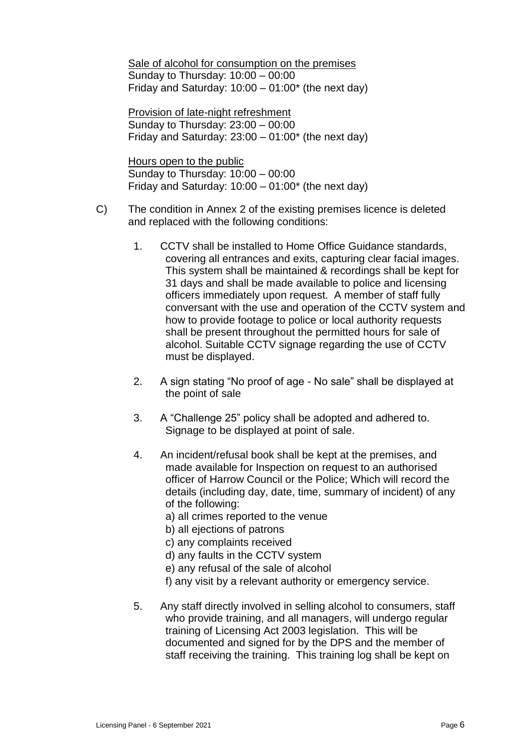Sale of alcohol for consumption on the premises Sunday to Thursday: 10:00 – 00:00 Friday and Saturday:  $10:00 - 01:00^*$  (the next day)

Provision of late-night refreshment Sunday to Thursday: 23:00 – 00:00 Friday and Saturday:  $23:00 - 01:00^*$  (the next day)

Hours open to the public Sunday to Thursday: 10:00 – 00:00 Friday and Saturday:  $10:00 - 01:00^*$  (the next day)

- C) The condition in Annex 2 of the existing premises licence is deleted and replaced with the following conditions:
	- 1. CCTV shall be installed to Home Office Guidance standards, covering all entrances and exits, capturing clear facial images. This system shall be maintained & recordings shall be kept for 31 days and shall be made available to police and licensing officers immediately upon request. A member of staff fully conversant with the use and operation of the CCTV system and how to provide footage to police or local authority requests shall be present throughout the permitted hours for sale of alcohol. Suitable CCTV signage regarding the use of CCTV must be displayed.
	- 2. A sign stating "No proof of age No sale" shall be displayed at the point of sale
	- 3. A "Challenge 25" policy shall be adopted and adhered to. Signage to be displayed at point of sale.
	- 4. An incident/refusal book shall be kept at the premises, and made available for Inspection on request to an authorised officer of Harrow Council or the Police; Which will record the details (including day, date, time, summary of incident) of any of the following:
		- a) all crimes reported to the venue
		- b) all ejections of patrons
		- c) any complaints received
		- d) any faults in the CCTV system
		- e) any refusal of the sale of alcohol
		- f) any visit by a relevant authority or emergency service.
	- 5. Any staff directly involved in selling alcohol to consumers, staff who provide training, and all managers, will undergo regular training of Licensing Act 2003 legislation. This will be documented and signed for by the DPS and the member of staff receiving the training. This training log shall be kept on